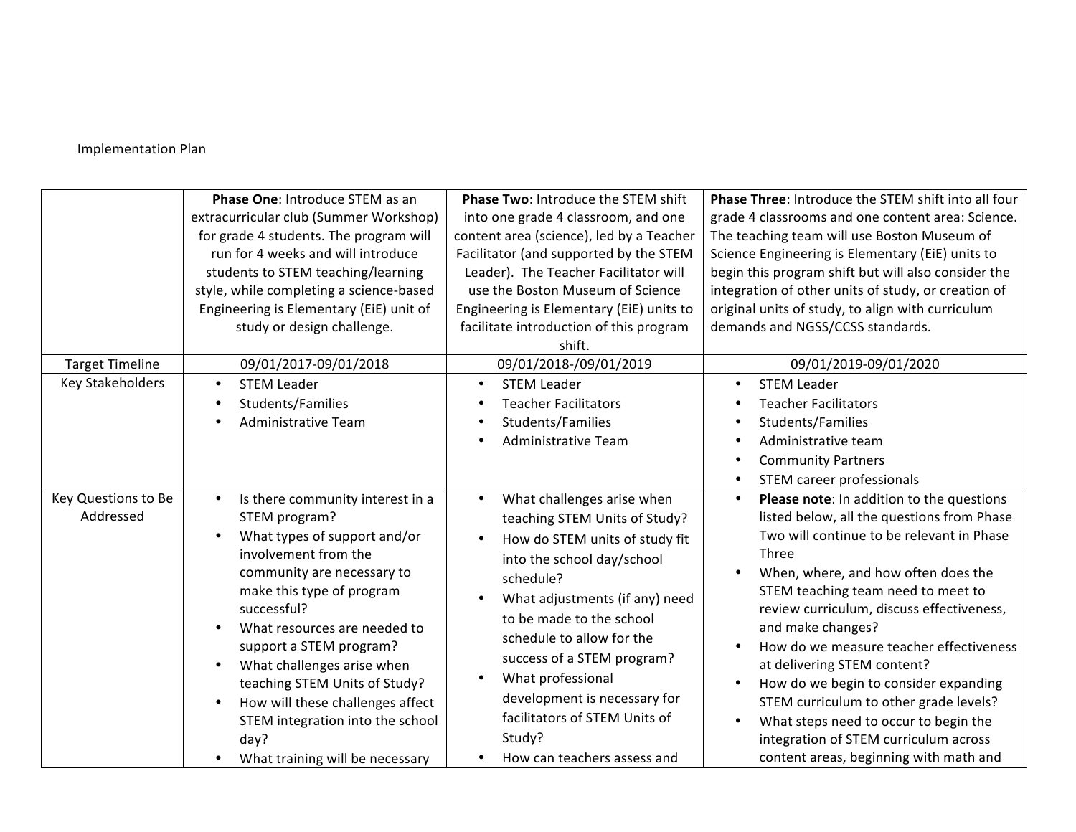## Implementation Plan

|                                  | Phase One: Introduce STEM as an<br>extracurricular club (Summer Workshop)<br>for grade 4 students. The program will<br>run for 4 weeks and will introduce<br>students to STEM teaching/learning<br>style, while completing a science-based<br>Engineering is Elementary (EiE) unit of<br>study or design challenge.                                                                                                              | Phase Two: Introduce the STEM shift<br>into one grade 4 classroom, and one<br>content area (science), led by a Teacher<br>Facilitator (and supported by the STEM<br>Leader). The Teacher Facilitator will<br>use the Boston Museum of Science<br>Engineering is Elementary (EiE) units to<br>facilitate introduction of this program<br>shift.                                                                             | Phase Three: Introduce the STEM shift into all four<br>grade 4 classrooms and one content area: Science.<br>The teaching team will use Boston Museum of<br>Science Engineering is Elementary (EiE) units to<br>begin this program shift but will also consider the<br>integration of other units of study, or creation of<br>original units of study, to align with curriculum<br>demands and NGSS/CCSS standards.                                                                                                                                                                    |
|----------------------------------|----------------------------------------------------------------------------------------------------------------------------------------------------------------------------------------------------------------------------------------------------------------------------------------------------------------------------------------------------------------------------------------------------------------------------------|----------------------------------------------------------------------------------------------------------------------------------------------------------------------------------------------------------------------------------------------------------------------------------------------------------------------------------------------------------------------------------------------------------------------------|---------------------------------------------------------------------------------------------------------------------------------------------------------------------------------------------------------------------------------------------------------------------------------------------------------------------------------------------------------------------------------------------------------------------------------------------------------------------------------------------------------------------------------------------------------------------------------------|
| <b>Target Timeline</b>           | 09/01/2017-09/01/2018                                                                                                                                                                                                                                                                                                                                                                                                            | 09/01/2018-/09/01/2019                                                                                                                                                                                                                                                                                                                                                                                                     | 09/01/2019-09/01/2020                                                                                                                                                                                                                                                                                                                                                                                                                                                                                                                                                                 |
| Key Stakeholders                 | <b>STEM Leader</b><br>Students/Families<br>Administrative Team                                                                                                                                                                                                                                                                                                                                                                   | <b>STEM Leader</b><br><b>Teacher Facilitators</b><br>Students/Families<br>$\bullet$<br>Administrative Team                                                                                                                                                                                                                                                                                                                 | <b>STEM Leader</b><br><b>Teacher Facilitators</b><br>Students/Families<br>Administrative team<br><b>Community Partners</b><br>STEM career professionals                                                                                                                                                                                                                                                                                                                                                                                                                               |
| Key Questions to Be<br>Addressed | Is there community interest in a<br>STEM program?<br>What types of support and/or<br>involvement from the<br>community are necessary to<br>make this type of program<br>successful?<br>What resources are needed to<br>support a STEM program?<br>What challenges arise when<br>teaching STEM Units of Study?<br>How will these challenges affect<br>STEM integration into the school<br>day?<br>What training will be necessary | What challenges arise when<br>$\bullet$<br>teaching STEM Units of Study?<br>How do STEM units of study fit<br>into the school day/school<br>schedule?<br>What adjustments (if any) need<br>$\bullet$<br>to be made to the school<br>schedule to allow for the<br>success of a STEM program?<br>What professional<br>development is necessary for<br>facilitators of STEM Units of<br>Study?<br>How can teachers assess and | Please note: In addition to the questions<br>listed below, all the questions from Phase<br>Two will continue to be relevant in Phase<br>Three<br>When, where, and how often does the<br>STEM teaching team need to meet to<br>review curriculum, discuss effectiveness,<br>and make changes?<br>How do we measure teacher effectiveness<br>at delivering STEM content?<br>How do we begin to consider expanding<br>STEM curriculum to other grade levels?<br>What steps need to occur to begin the<br>integration of STEM curriculum across<br>content areas, beginning with math and |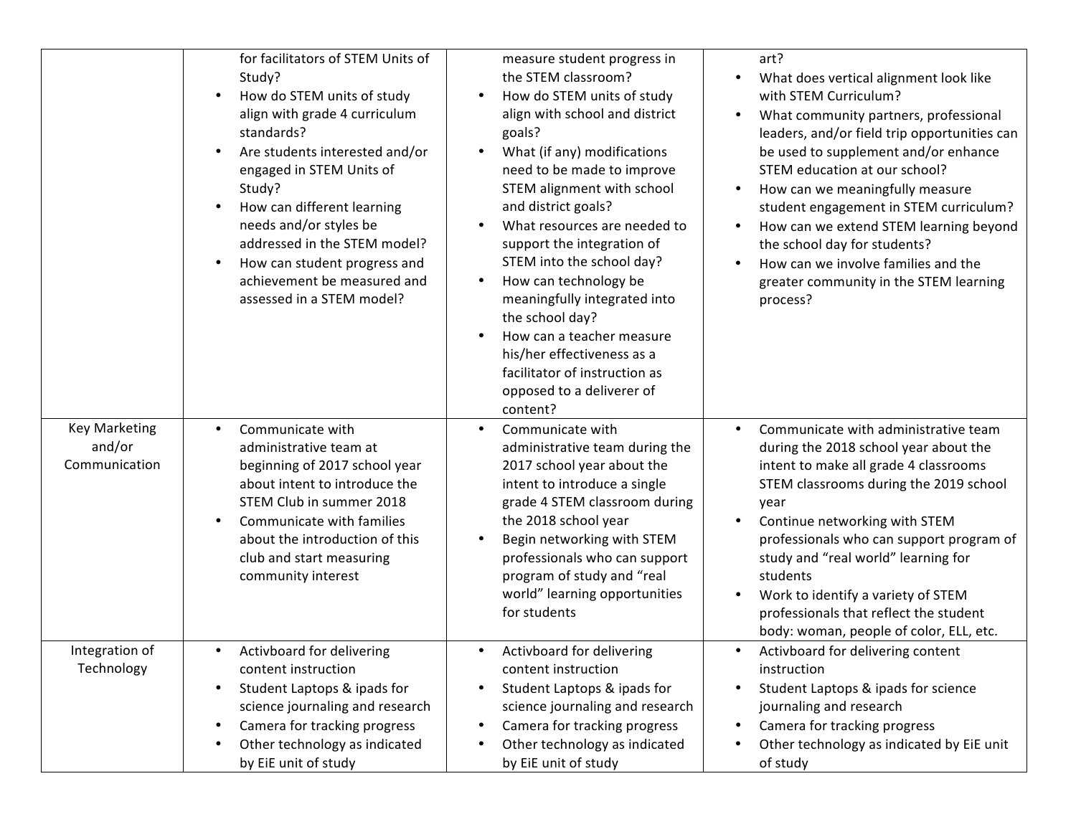|                                                 | for facilitators of STEM Units of<br>Study?<br>How do STEM units of study<br>align with grade 4 curriculum<br>standards?<br>Are students interested and/or<br>engaged in STEM Units of<br>Study?<br>How can different learning<br>needs and/or styles be<br>addressed in the STEM model?<br>How can student progress and<br>achievement be measured and<br>assessed in a STEM model? | measure student progress in<br>the STEM classroom?<br>How do STEM units of study<br>align with school and district<br>goals?<br>What (if any) modifications<br>need to be made to improve<br>STEM alignment with school<br>and district goals?<br>What resources are needed to<br>support the integration of<br>STEM into the school day?<br>How can technology be<br>meaningfully integrated into<br>the school day?<br>How can a teacher measure<br>his/her effectiveness as a<br>facilitator of instruction as<br>opposed to a deliverer of<br>content? | art?<br>What does vertical alignment look like<br>with STEM Curriculum?<br>What community partners, professional<br>leaders, and/or field trip opportunities can<br>be used to supplement and/or enhance<br>STEM education at our school?<br>How can we meaningfully measure<br>student engagement in STEM curriculum?<br>How can we extend STEM learning beyond<br>the school day for students?<br>How can we involve families and the<br>greater community in the STEM learning<br>process? |
|-------------------------------------------------|--------------------------------------------------------------------------------------------------------------------------------------------------------------------------------------------------------------------------------------------------------------------------------------------------------------------------------------------------------------------------------------|------------------------------------------------------------------------------------------------------------------------------------------------------------------------------------------------------------------------------------------------------------------------------------------------------------------------------------------------------------------------------------------------------------------------------------------------------------------------------------------------------------------------------------------------------------|-----------------------------------------------------------------------------------------------------------------------------------------------------------------------------------------------------------------------------------------------------------------------------------------------------------------------------------------------------------------------------------------------------------------------------------------------------------------------------------------------|
| <b>Key Marketing</b><br>and/or<br>Communication | Communicate with<br>administrative team at<br>beginning of 2017 school year<br>about intent to introduce the<br>STEM Club in summer 2018<br>Communicate with families<br>about the introduction of this<br>club and start measuring<br>community interest                                                                                                                            | Communicate with<br>administrative team during the<br>2017 school year about the<br>intent to introduce a single<br>grade 4 STEM classroom during<br>the 2018 school year<br>Begin networking with STEM<br>professionals who can support<br>program of study and "real<br>world" learning opportunities<br>for students                                                                                                                                                                                                                                    | Communicate with administrative team<br>$\bullet$<br>during the 2018 school year about the<br>intent to make all grade 4 classrooms<br>STEM classrooms during the 2019 school<br>year<br>Continue networking with STEM<br>professionals who can support program of<br>study and "real world" learning for<br>students<br>Work to identify a variety of STEM<br>professionals that reflect the student<br>body: woman, people of color, ELL, etc.                                              |
| Integration of<br>Technology                    | Activboard for delivering<br>content instruction<br>Student Laptops & ipads for<br>science journaling and research<br>Camera for tracking progress<br>Other technology as indicated<br>by EiE unit of study                                                                                                                                                                          | Activboard for delivering<br>content instruction<br>Student Laptops & ipads for<br>science journaling and research<br>Camera for tracking progress<br>Other technology as indicated<br>by EiE unit of study                                                                                                                                                                                                                                                                                                                                                | Activboard for delivering content<br>instruction<br>Student Laptops & ipads for science<br>journaling and research<br>Camera for tracking progress<br>Other technology as indicated by EiE unit<br>of study                                                                                                                                                                                                                                                                                   |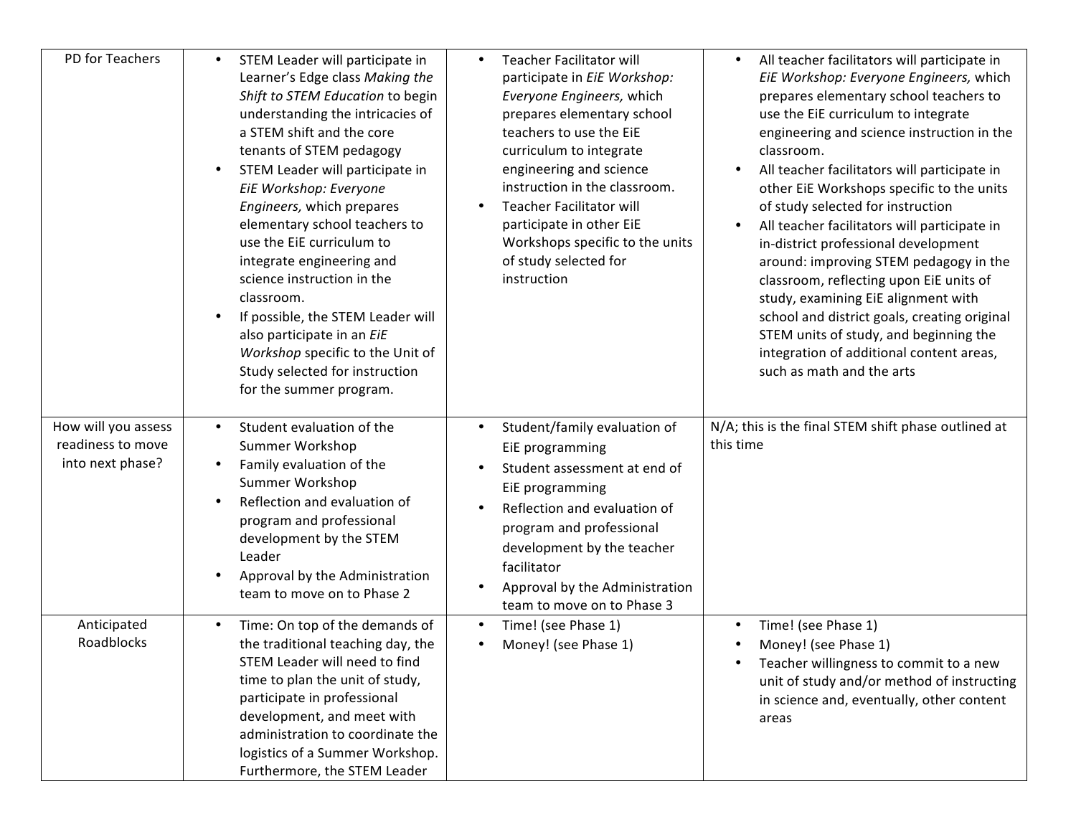| PD for Teachers                                              | STEM Leader will participate in<br>Learner's Edge class Making the<br>Shift to STEM Education to begin<br>understanding the intricacies of<br>a STEM shift and the core<br>tenants of STEM pedagogy<br>STEM Leader will participate in<br>EiE Workshop: Everyone<br>Engineers, which prepares<br>elementary school teachers to<br>use the EiE curriculum to<br>integrate engineering and<br>science instruction in the<br>classroom.<br>If possible, the STEM Leader will<br>also participate in an EiE<br>Workshop specific to the Unit of<br>Study selected for instruction<br>for the summer program. | <b>Teacher Facilitator will</b><br>$\bullet$<br>participate in EiE Workshop:<br>Everyone Engineers, which<br>prepares elementary school<br>teachers to use the EIE<br>curriculum to integrate<br>engineering and science<br>instruction in the classroom.<br><b>Teacher Facilitator will</b><br>participate in other EiE<br>Workshops specific to the units<br>of study selected for<br>instruction | All teacher facilitators will participate in<br>$\bullet$<br>EiE Workshop: Everyone Engineers, which<br>prepares elementary school teachers to<br>use the EiE curriculum to integrate<br>engineering and science instruction in the<br>classroom.<br>All teacher facilitators will participate in<br>other EiE Workshops specific to the units<br>of study selected for instruction<br>All teacher facilitators will participate in<br>in-district professional development<br>around: improving STEM pedagogy in the<br>classroom, reflecting upon EiE units of<br>study, examining EiE alignment with<br>school and district goals, creating original<br>STEM units of study, and beginning the<br>integration of additional content areas,<br>such as math and the arts |
|--------------------------------------------------------------|----------------------------------------------------------------------------------------------------------------------------------------------------------------------------------------------------------------------------------------------------------------------------------------------------------------------------------------------------------------------------------------------------------------------------------------------------------------------------------------------------------------------------------------------------------------------------------------------------------|-----------------------------------------------------------------------------------------------------------------------------------------------------------------------------------------------------------------------------------------------------------------------------------------------------------------------------------------------------------------------------------------------------|----------------------------------------------------------------------------------------------------------------------------------------------------------------------------------------------------------------------------------------------------------------------------------------------------------------------------------------------------------------------------------------------------------------------------------------------------------------------------------------------------------------------------------------------------------------------------------------------------------------------------------------------------------------------------------------------------------------------------------------------------------------------------|
| How will you assess<br>readiness to move<br>into next phase? | Student evaluation of the<br>$\bullet$<br>Summer Workshop<br>Family evaluation of the<br>Summer Workshop<br>Reflection and evaluation of<br>program and professional<br>development by the STEM<br>Leader<br>Approval by the Administration<br>team to move on to Phase 2                                                                                                                                                                                                                                                                                                                                | Student/family evaluation of<br>$\bullet$<br>EiE programming<br>Student assessment at end of<br>$\bullet$<br>EiE programming<br>Reflection and evaluation of<br>$\bullet$<br>program and professional<br>development by the teacher<br>facilitator<br>Approval by the Administration<br>team to move on to Phase 3                                                                                  | N/A; this is the final STEM shift phase outlined at<br>this time                                                                                                                                                                                                                                                                                                                                                                                                                                                                                                                                                                                                                                                                                                           |
| Anticipated<br>Roadblocks                                    | Time: On top of the demands of<br>$\bullet$<br>the traditional teaching day, the<br>STEM Leader will need to find<br>time to plan the unit of study,<br>participate in professional<br>development, and meet with<br>administration to coordinate the<br>logistics of a Summer Workshop.<br>Furthermore, the STEM Leader                                                                                                                                                                                                                                                                                 | Time! (see Phase 1)<br>$\bullet$<br>Money! (see Phase 1)                                                                                                                                                                                                                                                                                                                                            | Time! (see Phase 1)<br>$\bullet$<br>Money! (see Phase 1)<br>Teacher willingness to commit to a new<br>unit of study and/or method of instructing<br>in science and, eventually, other content<br>areas                                                                                                                                                                                                                                                                                                                                                                                                                                                                                                                                                                     |